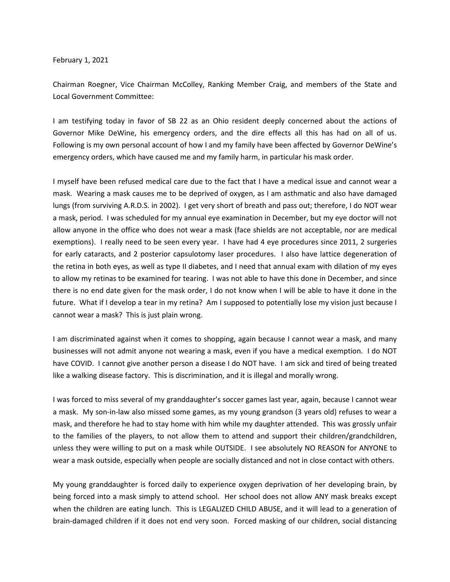February 1, 2021

Chairman Roegner, Vice Chairman McColley, Ranking Member Craig, and members of the State and Local Government Committee:

I am testifying today in favor of SB 22 as an Ohio resident deeply concerned about the actions of Governor Mike DeWine, his emergency orders, and the dire effects all this has had on all of us. Following is my own personal account of how I and my family have been affected by Governor DeWine's emergency orders, which have caused me and my family harm, in particular his mask order.

I myself have been refused medical care due to the fact that I have a medical issue and cannot wear a mask. Wearing a mask causes me to be deprived of oxygen, as I am asthmatic and also have damaged lungs (from surviving A.R.D.S. in 2002). I get very short of breath and pass out; therefore, I do NOT wear a mask, period. I was scheduled for my annual eye examination in December, but my eye doctor will not allow anyone in the office who does not wear a mask (face shields are not acceptable, nor are medical exemptions). I really need to be seen every year. I have had 4 eye procedures since 2011, 2 surgeries for early cataracts, and 2 posterior capsulotomy laser procedures. I also have lattice degeneration of the retina in both eyes, as well as type II diabetes, and I need that annual exam with dilation of my eyes to allow my retinas to be examined for tearing. I was not able to have this done in December, and since there is no end date given for the mask order, I do not know when I will be able to have it done in the future. What if I develop a tear in my retina? Am I supposed to potentially lose my vision just because I cannot wear a mask? This is just plain wrong.

I am discriminated against when it comes to shopping, again because I cannot wear a mask, and many businesses will not admit anyone not wearing a mask, even if you have a medical exemption. I do NOT have COVID. I cannot give another person a disease I do NOT have. I am sick and tired of being treated like a walking disease factory. This is discrimination, and it is illegal and morally wrong.

I was forced to miss several of my granddaughter's soccer games last year, again, because I cannot wear a mask. My son-in-law also missed some games, as my young grandson (3 years old) refuses to wear a mask, and therefore he had to stay home with him while my daughter attended. This was grossly unfair to the families of the players, to not allow them to attend and support their children/grandchildren, unless they were willing to put on a mask while OUTSIDE. I see absolutely NO REASON for ANYONE to wear a mask outside, especially when people are socially distanced and not in close contact with others.

My young granddaughter is forced daily to experience oxygen deprivation of her developing brain, by being forced into a mask simply to attend school. Her school does not allow ANY mask breaks except when the children are eating lunch. This is LEGALIZED CHILD ABUSE, and it will lead to a generation of brain-damaged children if it does not end very soon. Forced masking of our children, social distancing